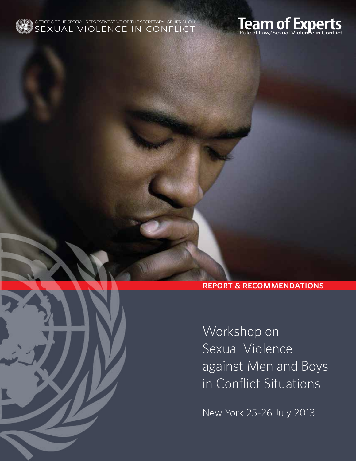



report & recommendations

Workshop on Sexual Violence against Men and Boys in Conflict Situations

New York 25-26 July 2013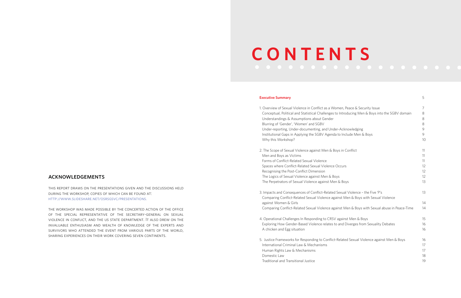# acknowledgements

this report draws on the presentations given and the discussions held during the workshop, copies of which can be found at: http://www.slideshare.net/osrsgsvc/presentations.

the workshop was made possible by the concerted action of the office of the special representative of the secretary-general on sexual violence in conflict, and the us state department. It also drew on the invaluable enthusiasm and wealth of knowledge of the experts and survivors who attended the event from various parts of the world, sharing experiences on their work covering seven continents.

| en, Peace & Security Issue<br>Introducing Men & Boys into the SGBV domain | 7<br>8<br>8                |
|---------------------------------------------------------------------------|----------------------------|
| Acknowledging<br>o Include Men & Boys                                     | 8<br>9<br>9<br>10          |
| s in Conflict                                                             | 11<br>11                   |
| curs                                                                      | 11<br>12<br>12             |
| x Boys                                                                    | 12<br>13                   |
| exual Violence - the Five 'P's<br>st Men & Boys with Sexual Violence      | 13                         |
| st Men & Boys with Sexual abuse in Peace-Time                             | 14<br>14                   |
| gainst Men & Boys<br>and Diverges from Sexuality Debates                  | 15<br>16<br>16             |
| elated Sexual Violence against Men & Boys                                 | 16<br>17<br>17<br>18<br>19 |

# **C O N T E N T S**

# **Executive Summary** 5

- 1. Overview of Sexual Violence in Conflict as a Wom Conceptual, Political and Statistical Challenges to Understandings & Assumptions about Gender Blurring of 'Gender', 'Women' and SGBV 8 Under-reporting, Under-documenting, and Under- $\lambda$ Institutional Gaps in Applying the SGBV Agenda to Why this Workshop?
- 2. The Scope of Sexual Violence against Men & Boys Men and Boys as Victims Forms of Conflict-Related Sexual Violence Spaces where Conflict-Related Sexual Violence Oc Recognising the Post-Conflict Dimension The Logics of Sexual Violence against Men & Boys The Perpetrators of Sexual Violence against Men &
- 3. Impacts and Consequences of Conflict-Related Se Comparing Conflict-Related Sexual Violence again against Women & Girls Comparing Conflict-Related Sexual Violence against
- 4. Operational Challenges In Responding to CRSV ag Exploring How Gender-Based Violence relates to a A chicken and Egg situation
- 5. Justice Frameworks for Responding to Conflict-Re International Criminal Law & Mechanisms Human Rights Law & Mechanisms 17 Domestic Law Traditional and Transitional Justice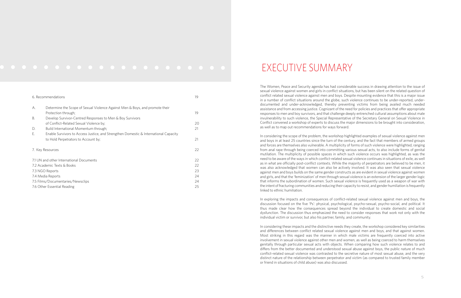The Women, Peace and Security agenda has had considerable success in drawing attention to the issue of sexual violence against women and girls in conflict situations, but has been silent on the related question of conflict related sexual violence against men and boys. Despite mounting evidence that this is a major issue in a number of conflict situations around the globe, such violence continues to be under-reported, underdocumented and under-acknowledged, thereby preventing victims from being availed much needed assistance and from accessing justice. Cognizant of the need for policies and practices that offer appropriate responses to men and boy survivors, and that challenge deeply entrenched cultural assumptions about male invulnerability to such violence, the Special Representative of the Secretary General on Sexual Violence in Conflict convened a workshop of experts to discuss the major dimensions to be brought into consideration, as well as to map out recommendations for ways forward.

In considering the scope of the problem, the workshop highlighted examples of sexual violence against men and boys in at least 25 countries since the turn of the century, and the fact that members of armed groups and forces are themselves also vulnerable. A multiplicity of forms of such violence were highlighted, ranging from anal rape through being coerced into committing various sexual acts, to also include forms of genital mutilation. The multiplicity of possible spaces in which such violence occurs was highlighted, as was the need to be aware of the ways in which conflict-related sexual violence continues in situations of exile, as well as in what are officially post-conflict contexts. While the majority of perpetrators are believed to be men, it was also acknowledged that women can also be actively involved. It was also seen that sexual violence against men and boys builds on the same gender constructs as are evident in sexual violence against women and girls, and that the 'feminization' of men through sexual violence is an extension of the larger gender logic that informs the subordination of women. Such sexual violence is frequently used as a weapon of war with the intent of fracturing communities and reducing their capacity to resist, and gender humiliation is frequently linked to ethnic humiliation.

In exploring the impacts and consequences of conflict-related sexual violence against men and boys, the discussion focused on the five 'Ps': physical, psychological, psycho-sexual, psycho-social, and political. It thus made clear how the consequences spread beyond the individual to create domestic and social dysfunction. The discussion thus emphasized the need to consider responses that work not only with the individual victim or survivor, but also his partner, family, and community.

In considering these impacts and the distinctive needs they create, the workshop considered key similarities and differences between conflict related sexual violence against men and boys, and that against women. Most striking in this regard was the manner in which male victims are frequently coerced into active involvement in sexual violence against other men and women, as well as being coerced to harm themselves genitally through particular sexual acts with objects. When comparing how such violence relates to and differs from the better documented and understood sexual abuse against boys, the public nature of much conflict-related sexual violence was contrasted to the secretive nature of most sexual abuse, and the very distinct nature of the relationship between perpetrator and victim (as compared to trusted family member or friend in situations of child abuse) was also discussed.

| 6. Recommendations                       |                                                                                      | 19 |
|------------------------------------------|--------------------------------------------------------------------------------------|----|
| А.                                       | Determine the Scope of Sexual Violence Against Men & Boys, and promote their         |    |
|                                          | Protection through;                                                                  | 19 |
| В.                                       | Develop Survivor-Centred Responses to Men & Boy Survivors                            |    |
|                                          | of Conflict-Related Sexual Violence by;                                              | 20 |
| D.                                       | Build International Momentum through;                                                | 21 |
| Ε.                                       | Enable Survivors to Access Justice, and Strengthen Domestic & International Capacity |    |
|                                          | to Hold Perpetrators to Account by;                                                  | 21 |
| 7. Key Resources                         |                                                                                      | 22 |
| 7.1 UN and other International Documents |                                                                                      | 22 |
|                                          | 7.2 Academic Texts & Books                                                           |    |
| 7.3 NGO Reports                          |                                                                                      | 23 |
| 7.4 Media Reports                        |                                                                                      | 24 |
| 7.5 Films/Documentaries/Newsclips        |                                                                                      | 24 |
| 7.6 Other Essential Reading              |                                                                                      | 25 |

# EXECUTIVE SUMMARY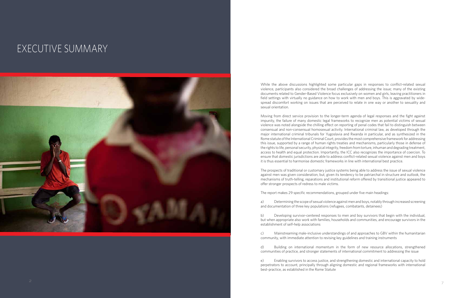While the above discussions highlighted some particular gaps in responses to conflict-related sexual violence, participants also considered the broad challenges of addressing the issue; many of the existing documents related to Gender-Based Violence focus exclusively on women and girls, leaving practitioners in field settings with virtually no guidance on how to work with men and boys. This is aggravated by widespread discomfort working on issues that are perceived to relate in one way or another to sexuality and sexual orientation.

Moving from direct service provision to the longer-term agenda of legal responses and the fight against impunity, the failure of many domestic legal frameworks to recognize men as potential victims of sexual violence was noted alongside the chilling effect on reporting of penal codes that fail to distinguish between consensual and non-consensual homosexual activity. International criminal law, as developed through the major international criminal tribunals for Yugoslavia and Rwanda in particular, and as synthesized in the Rome statute of the International Criminal Court, provides the most comprehensive framework for addressing this issue, supported by a range of human rights treaties and mechanisms, particularly those in defense of the rights to life, personal security, physical integrity, freedom from torture, inhuman and degrading treatment, access to health and equal protection. Importantly, the ICC also recognizes the importance of coercion. To ensure that domestic jurisdictions are able to address conflict-related sexual violence against men and boys it is thus essential to harmonise domestic frameworks in line with international best practice.

The prospects of traditional or customary justice systems being able to address the issue of sexual violence against men was given consideration, but, given its tendency to be patriarchal in structure and outlook, the mechanisms of truth-telling, reparations and institutional reform offered by transitional justice appeared to offer stronger prospects of redress to male victims.

The report makes 29 specific recommendations, grouped under five main headings:

a) Determining the scope of sexual violence against men and boys, notably through increased screening and documentation of three key populations (refugees, combatants, detainees)

b) Developing survivor-centered responses to men and boy survivors that begin with the individual, but when appropriate also work with families, households and communities, and encourage survivors in the establishment of self-help associations

c) Mainstreaming male-inclusive understandings of and approaches to GBV within the humanitarian community, with immediate attention to revising key guidelines and training instruments

d) Building on international momentum in the form of new resource allocations, strengthened communities of practice, and stronger statements of international commitment to addressing the issue

e) Enabling survivors to access justice, and strengthening domestic and international capacity to hold perpetrators to account, principally through aligning domestic and regional frameworks with international best-practice, as established in the Rome Statute

# EXECUTIVE SUMMARY

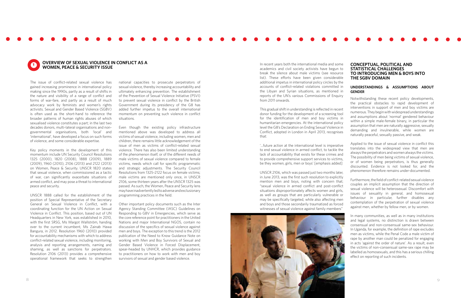

The issue of conflict-related sexual violence has gained increasing prominence in international policy making since the 1990s, partly as a result of shifts in the nature and visibility of a range of conflict and forms of war-fare, and partly as a result of much advocacy work by feminists and women's rights activists. Sexual and Gender Based Violence (SGBV) is often used as the short-hand to reference the broader patterns of human rights abuses of which sexualised violence constitutes a part; in the last two decades donors, multi-lateral organisations and nongovernmental organisations, both 'local' and 'international', have developed a focus on such forms of violence, and some considerable expertise.

Key policy moments in the development of this momentum include UN Security Council Resolutions 1325 (2000), 1820 (2008), 1888 (2009), 1889 (2009), 1960 (2010), 2106 (2013) and 2122 (2013) on Women, Peace & Security. UNSCR 1820 states that sexual violence, when commissioned as a tactic of war, can significantly exacerbate situations of armed conflict, and may pose a threat to international peace and security.

UNSCR 1888 called for the establishment of the position of Special Representative of the Secretary General on Sexual Violence in Conflict, with a coordinating function for the UN Action on Sexual Violence in Conflict. This position, based out of UN Headquarters in New York, was established in 2010, with the first SRSG, Ms Margot Wallström, handing over to the current incumbent, Ms Zainab Hawa Bangura, in 2012. Resolution 1960 (2010) provided for accountability mechanisms with which to address conflict-related sexual violence, including monitoring, analysis and reporting arrangements, naming and shaming, as well as sanctions for perpetrators. Resolution 2106 (2013) provides a comprehensive operational framework that seeks to strengthen



## **OVERVIEW OF SEXUAL VIOLENCE IN CONFLICT AS A WOMEN, PEACE & SECURITY ISSUE 1 OVERVIEW OF SEXUAL VIOLENCE IN CONFLICT AS A EXECUTE AS A In recent years both the international media and some**

national capacities to prosecute perpetrators of sexual violence, thereby increasing accountability and ultimately enhancing prevention. The establishment of the Prevention of Sexual Violence Initiative (PSVI) to prevent sexual violence in conflict by the British Government during its presidency of the G8 has added further impetus to the overall international momentum on preventing such violence in conflict situations.

Even though the existing policy infrastructure mentioned above was developed to address all victims of sexual violence, including women, men and children, there remains little acknowledgement of the issue of men as victims of conflict-related sexual violence. There has also been limited understanding of the phenomenon itself, or of the different needs of male victims of sexual violence compared to female victims, needs which call for specific programmatic and strategic adjustments. The Security Council Resolutions from 1325-2122 focus on female victims; male victims are mentioned only once, in UNSCR 2106, some thirteen years after the UNSCR 1325 was passed. As such, the Women, Peace and Security lens may have inadvertently led to adverse and exclusionary programming practices in the field.

Other important policy documents such as the Inter Agency Standing Committee (IASC) Guidelines on Responding to GBV in Emergencies, which serve as the core reference point for practitioners in the United Nations and major International NGOS, contain no discussion of the specifics of sexual violence against men and boys. The exception to this trend is the 2012 publication of the Need to Know Guidance Note on working with Men and Boy Survivors of Sexual and Gender Based Violence in Forced Displacement, spear-headed by UNHCR, which provides guidance to practitioners on how to work with men and boy survivors of sexual and gender based violence.

academics and civil society activists have begun to break the silence about male victims (see resource list). These efforts have been given considerable additional impetus in international policy circles by the accounts of conflict-related violations committed in the Libyan and Syrian situations, as mentioned in reports of the UN's various Commissions of Enquiry from 2011 onwards.

This gradual shift in understanding is reflected in recent donor funding for the development of a screening tool for the identification of men and boy victims in humanitarian emergencies. At the international policy level the G8's Declaration on Ending Sexual Violence in Conflict, adopted in London in April 2013, recognises that:

'…future action at the international level is imperative to end sexual violence in armed conflict, to tackle the lack of accountability that exists for these crimes and to provide comprehensive support services to victims, be they women, girls, men or boys' [emphasis added]

UNSCR 2106, which was passed just two months later, in June 2013, was the first such resolution to explicitly mention men and boys, noting with concern that; "sexual violence in armed conflict and post-conflict situations disproportionately affects women and girls, as well as groups that are particularly vulnerable or may be specifically targeted, while also affecting men and boys and those secondarily traumatized as forced witnesses of sexual violence against family members"



# **CONCEPTUAL, POLITICAL AND STATISTICAL CHALLENGES TO INTRODUCING MEN & BOYS INTO THE SGBV DOMAIN**

# **UNDERSTANDINGS & ASSUMPTIONS ABOUT GENDER**

Notwithstanding these recent policy developments, the practical obstacles to rapid development of interventions in support of men and boy victims are numerous. They begin with widespread understandings and assumptions about 'normal' gendered behaviour within a simple male-female binary, in particular the assumption that men are naturally aggressive, sexually demanding and invulnerable, while women are naturally peaceful, sexually passive, and weak.

Applied to the issue of sexual violence in conflict this translates into the widespread view that men are always the perpetrators and women always the victims. The possibility of men being victims of sexual violence, or of women being perpetrators, is thus generally discounted. Evidence is not looked for, and the phenomenon therefore remains under-documented.

Furthermore, the field of conflict-related sexual violence couples an implicit assumption that the direction of sexual violence will be heterosexual. Discomfort with issues of sexuality in general, and homosexual behaviour in particular, further disables any contemplation of the perpetration of sexual violence against men, whether by fellow men, or by women.

In many communities, as well as in many institutions and legal systems, no distinction is drawn between consensual and non-consensual same-sex behaviour. In Uganda, for example, the definition of rape excludes men as victims, while the Penal Code a male victim of rape by another man could be penalized for engaging in acts 'against the order of nature'. As a result, even the victims of non-consensual same-sex rape may be labelled as homosexuals, and this has a serious chilling effect on reporting of such incidents.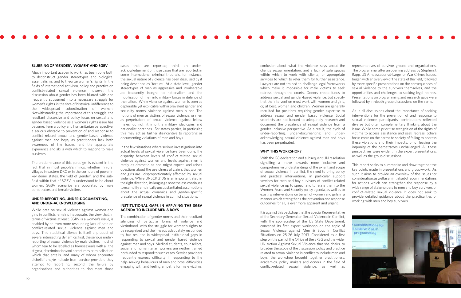## **BLURRING OF 'GENDER', 'WOMEN' AND SGBV**

Much important academic work has been done both to deconstruct gender stereotypes and biological essentialisms, and to theorize women's rights. In the fields of international activism, policy and practice on conflict-related sexual violence, however, the discussion about gender has been blurred with and frequently subsumed into a necessary struggle for women's rights in the face of historical indifference to the widespread subordination of women. Notwithstanding the importance of this struggle, the resultant discursive and policy focus on sexual and gender based violence as a women's rights issue has become, from a policy and humanitarian perspective, a serious obstacle to prevention of and response to conflict related sexual and gender-based violence against men and boys, as practitioners lack both awareness of the issues, and the appropriate experience and skills with which to respond to male survivors.

The predominance of this paradigm is evident in the fact that in most people's minds, whether in rural villages in eastern DRC or in the corridors of power in key donor states, the field of 'gender', and the subfield within that of SGBV, is understood to be about women. SGBV scenarios are populated by male perpetrators and female victims.

# **UNDER-REPORTING, UNDER-DOCUMENTING, AND UNDER-ACKNOWLEDGING**

While data on sexual violence against women and girls in conflicts remains inadequate, the view that, in terms of victims at least, SGBV is a women's issue, is enabled by an even more resounding lack of data on conflict-related sexual violence against men and boys. This statistical silence is itself a product of several intersecting dynamics; first, the serious underreporting of sexual violence by male victims, most of whom fear to be labelled as homosexuals with all the stigma, discrimination and sometimes criminalisation which that entails, and many of whom encounter disbelief and/or ridicule from service providers they attempt to report to; second, the failure by organisations and authorities to document those

cases that are reported; third, an underacknowledgement of those cases that are reported; in some international criminal tribunals, for instance, the sexual nature of violence has been disguised by it being described as 'torture'. At a state level, gender stereotypes of men as aggressive and invulnerable are frequently integral to nationalism and the mobilisation of men into military forces in defence of the nation. While violence against women is seen as deplorable yet explicable within prevalent gender and sexuality norms, violence against men is not. The notions of men as victims of sexual violence, or men as perpetrators of sexual violence against fellow males, do not fit into the military ideologies and nationalist doctrines. For states parties, in particular, this may act as further disincentive to reporting or documenting violations of men and boys.

In the few situations where serious investigations into actual levels of sexual violence have been done, the disparity between levels of conflict-related sexual violence against women and levels against men is rarely as dramatic as one might expect, and raises questions about the usefulness of claims that women and girls are 'disproportionately affected' by sexual violence. While UNSCR 2106 is an important step in the right direction, its language nonetheless continues to exemplify empirically unsubstantiated assumptions about the actual dynamics and gender-specific prevalence of sexual violence in conflict situations.

# **INSTITUTIONAL GAPS IN APPLYING THE SGBV AGENDA TO INCLUDE MEN & BOYS**

The combination of gender norms and their resultant silencing of particular forms of violence and victimhood, with the struggle for women's rights to be recognised and their needs adequately responded to, has resulted in widespread institutional gaps in responding to sexual and gender based violence against men and boys. Medical students, counsellors, social and humanitarian workers are neither trained nor funded to respond to such cases. Service providers frequently express difficulty in responding to the help-seeking behaviours of men and boys, difficulties engaging with and feeling empathy for male victims,



confusion about what the violence says about the client's sexual orientation, and a lack of safe spaces within which to work with clients, or appropriate services to which to refer them for further assistance. Lawyers are not trained to challenge legal frameworks which make it impossible for male victims to seek redress through the courts. Donors create funds to address sexual and gender-based violence, but specify that the intervention must work with women and girls, or, at best, women and children. Women are generally recruited for positions requiring gender expertise to address sexual and gender based violence. Social scientists are not funded to adequately research and document the prevalence of sexual violence from a gender–inclusive perspective. As a result, the cycle of under-reporting, under-documenting and underacknowledging sexual violence against men and boys has been perpetuated.

# **WHY THIS WORKSHOP?**

With the G8 declaration and subsequent UN resolution signalling a move towards more inclusive and comprehensive understandings of the extent and scope of sexual violence in conflict, the need to bring policy and practical interventions, in particular support services for men and boy survivors of conflict related sexual violence up to speed, and to relate them to the Women, Peace and Security policy agenda, as well as to existing interventions on behalf of women and girls in a manner which strengthens the prevention and response outcomes for all, is ever more apparent and urgent.

It is against this backdrop that the Special Representative of the Secretary General on Sexual Violence in Conflict, with the sponsorship of the US State Department, convened its first expert workshop on the topic of Sexual Violence against Men & Boys in Conflict Situations on 25-26 July 2013. Considered as a first step on the part of the Office of the SRSG and the wider UN Action Against Sexual Violence that she chairs, to broaden the scope of the discussion, policy and practice related to sexual violence in conflict to include men and boys, the workshop brought together practitioners, academics, policy makers and donors in the field of conflict-related sexual violence, as well as

representatives of survivor groups and organisations. The programme, after an opening address by Stephen J. Rapp, US Ambassador-at-Large for War Crimes Issues, began with an overview of the state of the field, followed by more specific presentations on the consequences of sexual violence to the survivors themselves, and the opportunities and challenges to seeking legal redress. Presentations on programming and research gaps were followed by in-depth group discussions on the same.

As in all discussions about the importance of seeking interventions for the prevention of and response to sexual violence, participants' contributions reflected diverse but often complementary thinking about the issue. While some prioritise recognition of the rights of victims to access assistance and seek redress, others focus more on the harms to society of failing to address these violations and their impacts, or of leaving the impunity of the perpetrators unchallenged. All these perspectives were evident in the expert presentations, as well as the group discussions.

This report seeks to summarise and draw together the key points made in presentations and group-work.. As such it aims to provide an overview of the issues for consideration, as well as an initial set of recommendations for actions which can strengthen the response by a wide range of stakeholders to men and boy survivors of conflict-related sexual violence. It does not seek to provide detailed guidance about the practicalities of working with men and boy survivors.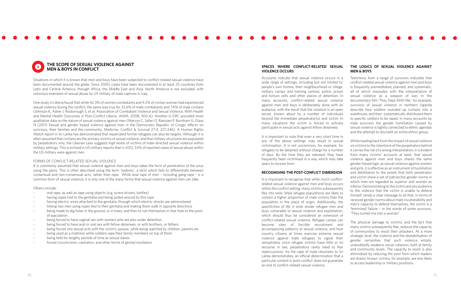Situations in which it is known that men and boys have been subjected to conflict-related sexual violence have been documented around the globe. Since 2000, cases have been documented in at least 25 countries from Latin and Central America, through Africa, the Middle East and Asia. North America is not excluded, with notorious examples of sexual abuse by US military of male captives in Iraq.

One study in Liberia found that while 42.3% of women combatants and 9.2% of civilian women had experienced sexual violence during the conflict, the same was true for 32.6% of male combatants and 7.4% of male civilians (Johnson K, Asher J, Rosborough S, et al, Association of Combatant Violence and Sexual Violence, With Health and Mental Health Outcomes in Post-Conflict Liberia, JAMA, 2008; 300-6). Another in DRC provided more qualitative data on the nature of sexual violence against men (Mervyn C, Safari O, Ramzani P, Burnham G, Glass N (2011) Sexual and gender based violence against men in the Democratic Republic of Congo: effects on survivors, their families and the community, Medicine, Conflict & Survival 27:4, 227-246). A Human Rights Watch report in Sri Lanka has demonstrated that repatriated former refugees can also be targets. Although it is often assumed that civilians are the primary victims of sexual violence, and that military structures are populated by perpetrators only, the Liberian case suggests high levels of victims of male-directed sexual violence within military settings. This is echoed in US military reports that in 2012, 53% of reported cases of sexual abuse within the US military were against men.

# FORMS OF CONFLICT-RELATED SEXUAL VIOLENCE

It is commonly assumed that sexual violence against men and boys takes the form of penetration of the anus using the penis. This is often described using the term 'sodomy', a term which fails to differentiate between consensual and non-consensual acts, rather than rape. While anal rape of men – including gang-rape - is a common form of sexual violence, it is only one of the many forms that sexual violence against men can take.

# Others include:

- oral rape, as well as rape using objects (e.g. screw-drivers, bottles)
- having ropes tied to the genitalia and being pulled around by this rope
- having electric wires attached to the genitalia, through which electric shocks are administered
- linking two men using ropes tied to their genitalia and making them walk in opposite directions
- being made to dig holes in the ground, or in trees, and then to rub themselves in that hole to the point of ejaculation
- being forced to have vaginal sex with women who are also under detention
- being forced to have anal or oral sex with fellow detainees, or with brothers, or fathers
- being forced into sexual acts with the victim's spouse, while being watched by children, parents etc.
- being used as a mattress while soldiers rape their family members on top of them
- being held for lengthy periods of time as sexual slaves
- forced circumcision, castration, and other forms of genital mutilation

It is important to recognise that while much conflictrelated sexual violence against men and boys occurs within the conflict setting, many victims subsequently flee into exile. Male refugee populations are likely to contain a higher proportion of male victims than the population in the place of origin. Additionally, the specificities of life in exile render refugee men and boys vulnerable to sexual violence and exploitation, which should thus be considered an extension of conflict-related sexual violence. Refugee camps can become sites of forcible recruitment and accompanying patterns of sexual violence, and host country citizens at times exercise extreme sexual violence against male refugees to signal their xenophobia; since refugee victims have little or no recourse in law, perpetrators rarely need to fear repercussions. As the rape of male returnees to Sri Lanka demonstrates, an official determination that a particular context is 'post-conflict' does not guarantee an end to conflict-related sexual violence.

Accounts indicate that sexual violence occurs in a wide range of settings, including but not limited to: people's own homes; their neighbourhood or village; military camps and training centres; police, prison and torture cells and other places of detention. In many accounts, conflict-related sexual violence against men and boys is deliberately done with an audience, with the result that the violation is an open secret, known about by a number of individuals beyond the immediate perpetrator(s) and victim. In many situations the victim is forced to actively participate in sexual acts against fellow detainees.

It is important to note that even a very short time in any of the above settings may result in sexual victimisation. It is not uncommon, for example, for refugees to be detained without charge for a number of days. By the time they are released, they have frequently been victimised in a way which may take years to recover from.

# **RECOGNISING THE POST-CONFLICT DIMENSION**

## **SPACES WHERE CONFLICT-RELATED SEXUAL VIOLENCE OCCURS THE LOGICS OF SEXUAL VIOLENCE AGAINST MEN & BOYS**

Testimony from a range of survivors indicates that conflict-related sexual violence against men and boys is frequently premeditated, planned, and systematic, all of which resonates with the interpretation of sexual violence as a weapon of war. In the documentary film 'They Slept With Me', for example, survivors of sexual violence in northern Uganda describe how soldiers rounded up civilians into a warehouse, and then systematically distributed them to specific soldiers to be raped. In many accounts by male survivors the gender humiliation caused by sexual violence is tightly connected to ethnic agendas and the attempt to discredit an entire ethnic group.

While reading back from the impact of sexual violence on victims to the intentions of the perpetrators behind it carries the risk of a wrong interpretation, it is evident from many victims' accounts at least, that sexual violence against men and boys shares the same gender-based logic as sexual violence against women and girls; it is effective as an instrument of humiliation and debilitation to the extent that both perpetrator and victim share a set of patriarchal gender norms in which men are regarded as superior and women as inferior. Demonstrating to the victim and any audience to the violence that the victim is unable to defend himself, sends a clear message to all that, in terms of received gender norms about male invulnerability and men's capacity to defend themselves, the victim is a 'feminized' failure – in the words of some survivors, "They turned me into a woman".

The physical damage to victims, and the fact that many victims subsequently flee, reduces the capacity of communities to resist their attackers. At a more strategic level, the violence and the destabilisation of gender certainties that such violence entails, undoubtedly weakens social cohesion, both at family and community levels. The capacity to resist is also diminished by reducing the pool from which leaders are drawn; known victims, for example, are less likely to access leadership or military positions.

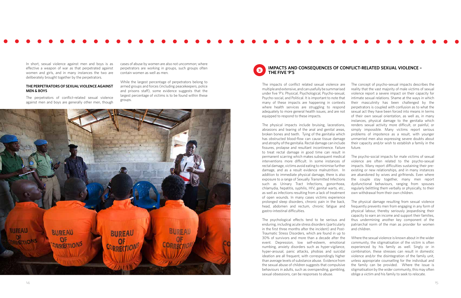In short, sexual violence against men and boys is as effective a weapon of war as that perpetrated against women and girls, and in many instances the two are deliberately brought together by the perpetrators.

# **THE PERPETRATORS OF SEXUAL VIOLENCE AGAINST MEN & BOYS**

The perpetrators of conflict-related sexual violence against men and boys are generally other men, though cases of abuse by women are also not uncommon; where perpetrators are working in groups, such groups often contain women as well as men.

While the largest percentage of perpetrators belong to armed groups and forces (including peacekeepers, police and prisons staff), some evidence suggests that the largest percentage of victims is to be found within these groups.



# **IMPACTS AND CONSEQUENCES OF CONFLICT-RELATED SEXUAL VIOLENCE – THE FIVE 'P'S <sup>3</sup>**

The impacts of conflict related sexual violence are multiple and extensive, and can usefully be summarised under five 'P's: Physical, Psychological, Psycho-sexual, Psycho-social, and Political. It is important to note that many of these impacts are happening in contexts where health services are struggling to respond adequately to more general health issues, and are not equipped to respond to these impacts. The physical impacts include bruising, lacerations, abrasions and tearing of the anal and genital areas, broken bones and teeth. Tying of the genitalia which has obstructed blood-flow can cause tissue damage and atrophy of the genitalia. Rectal damage can include fissures, prolapse and resultant incontinence. Failure The concept of psycho-sexual impacts describes the reality that the vast majority of male victims of sexual violence report a severe impact on their capacity for intimate sexual relations. Shame at the ways in which their masculinity has been challenged by the perpetrators is coupled with confusion as to what the sexual act they have been forced into means in terms of their own sexual orientation, as well as, in many instances, physical damage to the genitalia which problems of impotence as a result, with younger their capacity and/or wish to establish a family in the future.

to treat rectal damage in good time can result in permanent scarring which makes subsequent medical interventions more difficult. In some instances of rectal damage, victims avoid eating to minimise further damage, and as a result evidence malnutrition. In addition to immediate physical damage, there is also exposure to a range of Sexually Transmitted Infections such as Urinary Tract Infections, gonorrhoea, chlamydia, hepatitis, syphilis, HIV, genital warts, etc., as well as infections resulting from a lack of treatment of open wounds. In many cases victims experience prolonged sleep disorders, chronic pain in the back, head, abdomen and rectum, chronic fatigue and gastro-intestinal difficulties. renders sexual activity more difficult, or painful, or simply impossible. Many victims report serious unmarried men also expressing severe doubts about The psycho-social impacts for male victims of sexual violence are often related to the psycho-sexual impacts. Many report difficulties sustaining their preexisting or new relationships, and in many instances are abandoned by wives and girlfriends. Even where the couple stay together, many men report dysfunctional behaviours, ranging from spouses regularly belittling them verbally or physically, to their own withdrawal from their own children. The physical damage resulting from sexual violence frequently prevents men from engaging in any form of physical labour, thereby seriously jeopardising their capacity to earn an income and support their families, thus undermining another key component of the patriarchal norm of the man as provider for women and children.

The psychological effects tend to be serious and enduring, including acute stress disorders (particularly in the first three months after the incident) and Post-Traumatic Stress Disorders, which are found in up to 30% of survivors and more than a decade after the event. Depression, low self-esteem, emotional numbing, anxiety disorders such as hyper-vigilance, hyper-arousal, panic attacks, phobias and suicidal ideation are all frequent, with correspondingly higher than average levels of substance abuse. Evidence from the sexual abuse of children suggests that compulsive behaviours in adults, such as overspending, gambling, sexual obsessions, can be responses to abuse. Where the sexual violence is known about in the wider community, the stigmatisation of the victim is often experienced by his family as well. Singly or in combination, these stresses can result in domestic violence and/or the disintegration of the family unit, unless appropriate counselling for the individual and the family can be provided. Where the issue is stigmatisation by the wider community, this may often oblige a victim and his family to seek to relocate.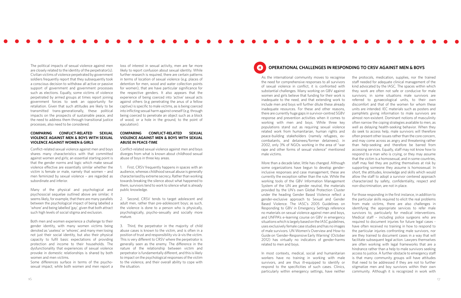The political impacts of sexual violence against men are closely related to the identity of the perpetrator(s). Civilian victims of violence perpetrated by government soldiers frequently report that they subsequently took a conscious decision to withdraw all active or passive support of government and government processes such as elections. Equally, some victims of violence perpetrated by armed groups at times report joining government forces to seek an opportunity for retaliation. Given that such attitudes are likely to be transmitted trans-generationally, these political impacts on the prospects of sustainable peace, and the need to address them through transitional justice processes, also need to be considered.

# **COMPARING CONFLICT-RELATED SEXUAL VIOLENCE AGAINST MEN & BOYS WITH SEXUAL VIOLENCE AGAINST WOMEN & GIRLS**

Conflict-related sexual violence against men and boys shares many characteristics with that committed against women and girls; an essential starting point is that the gender norms and logic which make sexual violence effective are essentially similar whether the victim is female or male, namely that women – and men feminized by sexual violence – are regarded as subordinate and inferior.

Many of the physical and psychological and psychosocial sequelae outlined above are similar; it seems likely, for example, that there are many parallels between the psychological impact of being labelled a 'whore' and being labelled 'gay', given that both attract such high levels of social stigma and exclusion.

Both men and women experience a challenge to their gender identity, with many women victims being denoted as 'useless' or 'whores', and many men losing not just their social identity, but also their physical capacity to fulfil basic expectations of providing protection and income to their households. The dysfunctionality that experiences of sexual violence provoke in domestic relationships is shared by both women and men victims.

Some differences surface in terms of the psychosexual impact; while both women and men report a

loss of interest in sexual activity, men are far more likely to report confusion about sexual identity. While further research is required, there are certain patterns in terms of location of sexual violence (e.g. places of detention for men, wood and water collection points for women), that are have particular significance for the respective genders. It also appears that the experience of being coerced into 'active' sexual acts against others (e.g penetrating the anus of a fellow captive) is specific to male victims, as is being coerced into inflicting sexual harm against oneself (e.g. through being coerced to penetrate an object such as a block of wood, or a hole in the ground, to the point of ejaculation).

# **COMPARING CONFLICT-RELATED SEXUAL VIOLENCE AGAINST MEN & BOYS WITH SEXUAL ABUSE IN PEACE-TIME**

Conflict-related sexual violence against men and boys diverges from what is known about childhood sexual abuse of boys in three key areas.

1. First, CRSV frequently happens in spaces with an audience, whereas childhood sexual abuse is generally characterised by extreme secrecy. Rather than working towards breaking the silence about what happened to them, survivors tend to work to silence what is already public knowledge.

2. Second, CRSV tends to target adolescent and adult men, rather than pre-adolescent boys; as such, the violence is done to a person who is physically, psychologically, psycho-sexually and socially more mature.

3. Third, the perpetrator in the majority of child abuse cases is known to the victim, and is often in a position of trust and responsibility vis-à-vis the victim. This is very different to CRSV where the perpetrator is generally seen as the enemy. The difference in the nature of the relationship between victim and perpetrator is fundamentally different, and this is likely to impact on the psychological responses of the victim to the violence, and their overall ability to cope with the situation.

As the international community moves to recognise the need for comprehensive responses to all survivors of sexual violence in conflict, it is confronted with substantial challenges. Many working on GBV against women and girls believe that funding for their work is inadequate to the need, and that extending work to include men and boys will further dilute these already inadequate resources. For these and other reasons, there are currently huge gaps in survivor-centred SGBV response and prevention activities when it comes to working with men and boys. While three key populations stand out as requiring sexual violence related work from humanitarian, human rights and peace-building stakeholders (namely refugees, excombatants, and detainees/former detainees), in 2002, only 3% of NGOs working in the area of "war rape and other forms of sexual violence" mentioned male victims. More than a decade later, little has changed. Although some organizations have begun to develop genderinclusive responses and case management, these are currently the exception rather than the rule. While the working tools of the GBV Information Management System of the UN are gender neutral, the materials the protocols, medication, supplies, nor the trained staff needed for adequate clinical management of the kind advocated by the IASC. The spaces within which they work are often not safe or conducive for male survivors; in some situations male survivors are referred to gynaecological units, to their own discomfort and that of the women for whom these units are intended. IEC materials such as posters and pamphlets giving information to male survivors are almost non-existent. Dominant notions of masculinity often narrow the coping strategies available to men, as well as delaying health-seeking behavior. When they do seek to access help, male survivors will therefore often present other issues rather than the core concern, and may come across as angry and threatening rather than help-seeking and therefore be barred from accessing services. Equally, staff may not know how to respond to a man who is crying, or they may assume that the victim is a homosexual, and in some countries, staff may feel they are putting themselves at risk by non-discrimination, are not in place.

provided by the UN's own Global Protection Cluster under the heading Gender Based Violence reflect a gender-exclusive approach to Sexual and Gender Based Violence. The IASC's 2005 Guidelines on Responding to GBV in Emergency Settings reference no materials on sexual violence against men and boys, and UNFPA's e-learning course on GBV in emergency situations which is largely based on the IASC guidelines, uses exclusively female case studies and has no images of male survivors. UN Women's Overview and How-to Guide on 'Gender-Responsive Early Warning' (October 2012) has virtually no indicators of gender-harms related to men and boys. In most contexts, medical, social and humanitarian workers have no training in working with male survivors, and are thus ill-equipped to identify or respond to the specificities of such cases. Clinics, particularly within emergency settings, have neither supporting someone they assume is homosexual. In short, the attitudes, knowledge and skills which would allow the staff to adopt a survivor centered approach characterized by safety, confidentiality, respect and For those responding in the first instance, in addition to the particular skills required to elicit the real problems from male victims, there are also challenges in identifying the appropriate services to refer male survivors to, particularly for medical interventions. Medical staff – including police surgeons who are required to document injuries for future legal cases have often received no training in how to respond to the particular injuries confronting male survivors, nor are they trained to document cases in a way that will facilitate subsequent legal action. Lawyers themselves are often working with legal frameworks that are a hindrance rather than a help to male survivors seeking access to justice. A further obstacle to emergency staff is that many community groups will have attitudes that need to be addressed if they are not to further stigmatize men and boy survivors within their own community. Although it is recognized in work with

# **4 OPERATIONAL CHALLENGES IN RESPONDING TO CRSV AGAINST MEN & BOYS**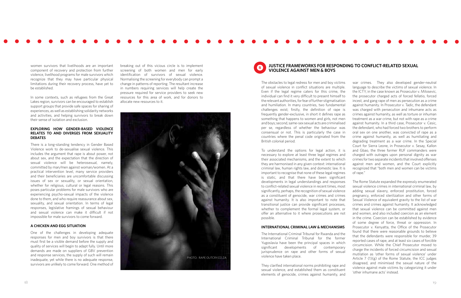women survivors that livelihoods are an important component of recovery and protection from further violence, livelihood programs for male survivors which recognize that they may have particular physical limitations during their recovery process, have yet to be established.

In some contexts, such as refugees from the Great Lakes region, survivors can be encouraged to establish support groups that provide safe spaces for sharing of experiences, as well as establishing solidarity networks and activities, and helping survivors to break down their sense of isolation and exclusion.

# **EXPLORING HOW GENDER-BASED VIOLENCE RELATES TO AND DIVERGES FROM SEXUALITY DEBATES**

There is a long-standing tendency in Gender Based Violence work to de-sexualise sexual violence. This includes the argument that rape is about power, not about sex, and the expectation that the direction of sexual violence will be heterosexual, namely, committed by man/men against woman/women. At a practical intervention level, many service providers and their beneficiaries are uncomfortable discussing issues of sex or sexuality, or sexual orientation, whether for religious, cultural or legal reasons. This poses particular problems for male survivors who are experiencing psycho-sexual impacts of the violence done to them, and who require reassurance about sex, sexuality, and sexual orientation. In terms of legal responses, legislative framings of sexual behaviour and sexual violence can make it difficult if not impossible for male survivors to come forward.

# **A CHICKEN AND EGG SITUATION**

One of the challenges in developing adequate responses for men and boy survivors is that there must first be a visible demand before the supply and quality of services will begin to adapt fully. Until more demands are made on suppliers of GBV prevention and response services, the supply of such will remain inadequate, yet while there is no adequate response, survivors are unlikely to come forward. One method of

breaking out of this vicious circle is to implement screening of both women and men for early identification of survivors of sexual violence. Normalising the screening for everybody can prompt a change in patterns of reporting. The resultant increase in numbers requiring services will help create the pressure required for service providers to seek new resources for this area of work, and for donors to allocate new resources to it.

The obstacles to legal redress for men and boy victims of sexual violence in conflict situations are multiple. Even if the legal regime caters for this crime, the individual can find it very difficult to present himself to the relevant authorities, for fear of further stigmatisation and humiliation. In many countries, two fundamental challenges exist; firstly, the definition of rape is frequently gender-exclusive, in short it defines rape as something that happens to women and girls, not men and boys; second, same-sex sexual acts are criminalised per se, regardless of whether the behaviour was consensual or not. This is particularly the case in countries where the penal code originated from the British colonial period.

To understand the options for legal action, it is necessary to explore at least three legal regimes and their associated mechanisms, and the extent to which they are harmonised in any given context: international criminal law, human rights law, and domestic law. It is important to recognise that none of these legal regimes is static, and that there have been significant developments in legal understandings and responses to conflict-related sexual violence in recent times, most significantly, perhaps, the recognition of sexual violence as a constituent of genocide, war crimes and crimes against humanity. It is also important to note that transitional justice can provide significant processes, whether to complement the formal legal system, or offer an alternative to it where prosecutions are not possible.

# **INTERNATIONAL CRIMINAL LAW & MECHANISMS**

The International Criminal Tribunal for Rwanda and the International Criminal Tribunal for the former Yugoslavia have been the principal spaces in which significant developments of contemporary jurisprudence on rape and other forms of sexual violence have taken place.

They clarified international norms prohibiting rape and sexual violence, and established them as constituent elements of genocide, crimes against humanity, and

war crimes. They also developed gender-neutral language to describe the victims of sexual violence. In the ICTY, in the case known as Prosecutor v. Milosevic, the prosecutor charged acts of forced fellatio, forced incest, and gang rape of men as persecution as a crime against humanity. In Prosecutor v. Tadic, the defendant was charged with persecution and inhumane acts as crimes against humanity, as well as torture or inhuman treatment as a war crime, but not with rape as a crime against humanity. In a third case, Prosecutor v. Cesic, the defendant, who had forced two brothers to perform oral sex on one another, was convicted of rape as a crime against humanity, as well as humiliating and degrading treatment as a war crime. In the Special Court for Sierra Leone, in Prosecutor v. Sesay, Kallon and Gbao, the three former RUF commanders were charged with outrages upon personal dignity as war crimes for two separate incidents that involved offenses against men and women, and the Court explicitly recognized that "both men and women can be victims of rape."

The Rome Statute expanded the expressly enumerated sexual violence crimes in international criminal law, by adding sexual slavery, enforced prostitution, forced pregnancy, enforced sterilization and other forms of Sexual Violence of equivalent gravity to the list of war crimes and crimes against humanity. It acknowledged that sexual violence can be committed against men and women, and also included coercion as an element in the crime. Coercion can be established by evidence of some degree of force, threat or oppression. In Prosecutor v. Kenyatta, the Office of the Prosecutor found that there were reasonable grounds to believe that the defendants were responsible for murder, 39 reported cases of rape, and at least six cases of forcible circumcision. While the Chief Prosecutor moved to charge the incidents of forced circumcision and sexual mutilation as 'other forms of sexual violence' under Article 7 (1)(g) of the Rome Statute, the ICC judges disagreed, and minimised the sexual nature of the violence against male victims by categorizing it under 'other inhumane acts' instead.

# **JUSTICE FRAMEWORKS FOR RESPONDING TO CONFLICT-RELATED SEXUAL VIOLENCE AGAINST MEN & BOYS <sup>5</sup>**

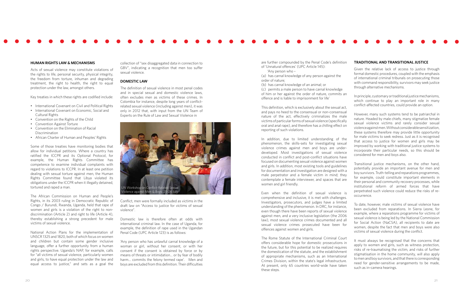# **HUMAN RIGHTS LAW & MECHANISMS**

Acts of sexual violence may constitute violations of the rights to life, personal security, physical integrity, the freedom from torture, inhuman and degrading treatment, the right to health, the right to equal protection under the law, amongst others.

Key treaties in which these rights are codified include:

- International Covenant on Civil and Political Rights
- International Covenant on Economic, Social and Cultural Rights
- • Convention on the Rights of the Child
- • Convention Against Torture
- • Convention on the Elimination of Racial Discrimination
- • African Charter of Human and Peoples' Rights

Some of those treaties have monitoring bodies that allow for individual petitions. Where a country has ratified the ICCPR and its Optional Protocol, for example, the Human Rights Committee has competence to examine individual complaints with regard to violations to ICCPR. In at least one petition dealing with sexual torture against men, the Human Rights Committee found that Libya violated its obligations under the ICCPR when it illegally detained, tortured and raped a man.

The African Commission on Human and People's Rights, in its 2003 ruling in Democratic Republic of Congo / Burundi, Rwanda, Uganda, held that rape of women and girls is a violation of the right to nondiscrimination (Article 2) and right to life (Article 4), thereby establishing a strong precedent for male victims of sexual violence.

National Action Plans for the implementation of UNSCR 1325 and 1820, both of which focus on women and children but contain some gender inclusive language, offer a further opportunity from a human rights perspective. Uganda's NAP, for example, calls for "all victims of sexual violence, particularly women and girls, to have equal protection under the law and equal access to justice," and sets as a goal the

collection of "sex disaggregated data in connection to GBV", indicating a recognition that men too suffer sexual violence.

# **DOMESTIC LAW**

The definition of sexual violence in most penal codes and in special sexual and domestic violence laws, often excludes men as victims of these crimes. In Colombia for instance, despite long years of conflictrelated sexual violence (including against men), it was only in 2012 that, with input from the UN Team of Experts on the Rule of Law and Sexual Violence in

Conflict, men were formally included as victims in the draft law on "Access to justice for victims of sexual violence".

Domestic law is therefore often at odds with international criminal law. In the case of Uganda, for example, the definition of rape used in the Ugandan Penal Code (UPC Article 123) is as follows:

'Any person who has unlawful carnal knowledge of a woman or girl, without her consent, or with her consent if the consent is obtained by force or by means of threats or intimidation… or by fear of bodily harm… commits the felony termed rape'. Men and boys are excluded from this definition. Their difficulties

are further compounded by the Penal Code's definition of 'Unnatural offences' (UPC Article 145):

'Any person who –

(a) has carnal knowledge of any person against the order of nature;

(b) has carnal knowledge of an animal; or (c) permits a male person to have carnal knowledge

of him or her against the order of nature, commits an offence and is liable to imprisonment for life'

This definition, which is exclusively about the sexual act, and pays no heed to the consensual or non-consensual nature of the act, effectively criminalizes the male victims of particular forms of sexual violence (specifically oral and anal rape), and therefore has a chilling effect on reporting of such violations.

In addition, due to limited understanding of the phenomenon, the skills-sets for investigating sexual violence crimes against men and boys are underdeveloped. Most investigations of sexual violence conducted in conflict and post-conflict situations have focused on documenting sexual violence against women and girls. In addition, most existing tools and guidelines for documentation and investigation are designed with a male perpetrator and a female victim in mind; they contemplate a female interviewer, and spaces that are women and girl friendly.

Even when the definition of sexual violence is comprehensive and inclusive, it is met with challenges. Investigators, prosecutors, and judges have a limited understanding of the phenomenon. In DRC, for instance, even though there have been reports of sexual violence against men, and a very inclusive legislation (the 2006 law), most sexual violence crimes documented and all sexual violence crimes prosecuted have been for offences against women and girls.

The Rome Statute of the International Criminal Court offers considerable hope for domestic prosecutions in the future, but for this potential to be realized requires the domestication of the statute, and the establishment of appropriate mechanisms, such as an International Crimes Division, within the state's legal infrastructure. At present, only 65 countries world-wide have taken these steps.

# **TRADITIONAL AND TRANSITIONAL JUSTICE**

Given the relative lack of access to justice through formal domestic procedures, coupled with the emphasis of international criminal tribunals on prosecuting those with command responsibility, survivors may seek justice through alternative mechanisms.

In principle, customary or traditional justice mechanisms, which continue to play an important role in many conflict-affected countries, could provide an option.

However, many such systems tend to be patriarchal in nature. Headed by male chiefs, many stigmatize female sexual violence victims and rarely consider sexual violence against men. Without considerable sensitization, these systems therefore may provide little opportunity for male victims to seek redress. Just as it is recognised that access to justice for women and girls may be improved by working with traditional justice systems to incorporate their particular needs, so this should be considered for men and boys also.

Transitional justice mechanisms, on the other hand, potentially provide an important avenue for men and boy survivors. Truth-telling and reparations programmes, for example, could constitute important elements in their personal and community recovery processes, while institutional reform of armed forces that have perpetrated such violence could reduce the risks of reoccurrence.

To date, however, male victims of sexual violence have been excluded from reparations. In Sierra Leone, for example, where a reparations programme for victims of sexual violence is being led by the National Commission for Social Action (NaCSA), all recipients to date are women, despite the fact that men and boys were also victims of sexual violence during the conflict.

It must always be recognised that the concerns that apply to women and girls, such as witness protection, risks of re-traumatising the victim, and risks of further stigmatisation in the home community, will also apply to men and boy survivors, and that there is corresponding need for gender-sensitive arrangements to be made, such as in-camera hearings.

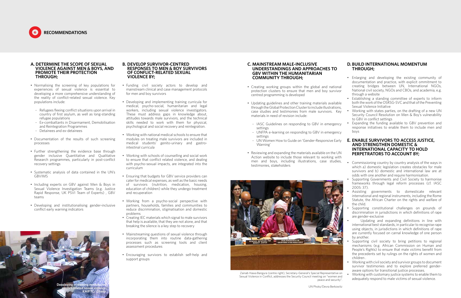# **A. DETERMINE THE SCOPE OF SEXUAL VIOLENCE AGAINST MEN & BOYS, AND PROMOTE THEIR PROTECTION THROUGH;**

- Normalising the screening of key populations for experiences of sexual violence is essential to developing a more comprehensive understanding of the reality of conflict-related sexual violence. Key populations include:
- Refugees fleeing conflict situations upon arrival in country of first asylum, as well as long-standing refugee populations
- Ex-combattants in Disarmament, Demobilisation and Reintegration Programmes
- Detainees and ex-detainees
- Documentation of the results of such screening processes
- Further strengthening the evidence base through gender inclusive Quantitative and Qualitative Research programmes, particularly in post-conflict recovery settings
- • Systematic analysis of data contained in the UN's GBVIMS
- Including experts on GBV against Men & Boys in Sexual Violence Investigation Teams (e.g. Justice Rapid Response, UK PSVI Team of Experts) , GBV teams
- • Developing and institutionalising gender-inclusive conflict early warning indicators

# **B. DEVELOP SURVIVOR-CENTRED RESPONSES TO MEN & BOY SURVIVORS OF CONFLICT-RELATED SEXUAL VIOLENCE BY;**

- Creating working groups within the global and national protection clusters to ensure that men and boy survivor centred programming is developed
- Updating guidelines and other training materials available through the Global Protection Cluster to include illustrations, case studies and testimonies from male survivors. Key materials in need of revision include:
- IASC Guidelines on responding to GBV in emergency settings - UNFPA e-learning on responding to GBV in emergency • Expanding the funding available to GBV prevention and response initiatives to enable them to include men and boys
- settings
- UN Women How to Guide on 'Gender-Responsive Early Warning'
- Reviewing and expanding the materials available on the UN Action website to include those relevant to working with men and boys, including illustrations, case studies, testimonies, stakeholders
- • Funding civil society actors to develop and mainstream clinical and case management protocols for men and boy survivors
- • Developing and implementing training curricula for medical, psycho-social, humanitarian and legal workers, including sexual violence investigators. These must address gaps in knowledge about, attitudes towards male survivors, and the technical skills needed to work with them for physical, psychological and social recovery and reintegration.
- • Working with national medical schools to ensure that modules on treating male survivors are included in medical students' genito-urinary and gastrointestinal curricula
- Working with schools of counselling and social work to ensure that conflict related violence, and dealing with psycho-sexual impacts, are integrated into the curriculum
- Ensuring that budgets for GBV service providers can cater for medical expenses, as well as the basic needs of survivors (nutrition, medication, housing, education of children) while they undergo treatment and recuperation
- • Working from a psycho-social perspective with partners, households, families and communities to reduce discrimination, stigmatisation and domestic problems
- Creating IEC materials which signal to male survivors that help is available, that they are not alone, and that breaking the silence is a key step to recovery
- Mainstreaming questions of sexual violence through incorporating them into routine data-gathering processes such as screening tools and client assessment procedures
- • Encouraging survivors to establish self-help and support groups
- Commissioning country by country analysis of the ways in which a) domestic legislation creates obstacles for male survivors and b) domestic and international law are at odds with one another and require harmonisation.
- Supporting Governments and Civil Society to harmonise frameworks through legal reform processes (cf. IASC 2005: 37).
- Assisting governments to domesticate relevant international and regional instruments, including the Rome Statute, the African Charter on the rights and welfare of the child.
- Supporting constitutional challenges on grounds of discrimination in jurisdictions in which definitions of rape are gender-exclusive

Updating and expanding definitions in line with international best standards, in particular to recognise rape using objects, in jurisdictions in which definitions of rape are currently focused on carnal knowledge of one person by another.

# **C. MAINSTREAM MALE-INCLUSIVE UNDERSTANDINGS AND APPROACHES TO GBV WITHIN THE HUMANITARIAN COMMUNITY THROUGH;**

- Supporting civil society to bring petitions to regional mechanisms (e.g. African Commission on Human and People's Rights) to ensure that male victims benefit from the precedents set by rulings on the rights of women and children .
- Working with civil society and survivor groups to document survivor testimonies and to explore preferred genderaware options for transitional justice processes.
- Working with customary justice systems to enable them to adequately respond to male victims of sexual violence.

# **D. BUILD INTERNATIONAL MOMENTUM THROUGH;**

- • Enlarging and developing the existing community of documentation and practice, with explicit ommitment to creating bridges between UN, International NGOs, National civil society, NGOs and CBOs, and academia, e.g. through a website
- • Establishing a standing committee of experts to inform both the work of the OSRSG-SVC and that of the Preventing Sexual Violence Initiative
- Working with states parties, on the drafting of a new UN Security Council Resolution on Men & Boy's vulnerability to GBV in conflict settings

# **E. ENABLE SURVIVORS TO ACCESS JUSTICE, AND STRENGTHEN DOMESTIC & INTERNATIONAL CAPACITY TO HOLD PERPETRATORS TO ACCOUNT BY;**



Zainab Hawa Bangura (centre right), Secretary-General's Special Representative on Sexual Violence in Conflict, addresses the Security Council meeting on "women and peace and security".



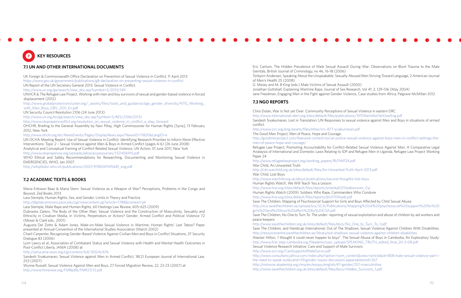# **7.1 UN AND OTHER INTERNATIONAL DOCUMENTS**

UK Foreign & Commonwealth Office Declaration on Prevention of Sexual Violence in Conflict, 11 April 2013 https://www.gov.uk/government/publications/g8-declaration-on-preventing-sexual-violence-in-conflict UN Report of the UN Secretary General 2013: Sexual Violence in Conflict. http://www.un.org/ga/search/view\_doc.asp?symbol=S/2013/149 UNHCR & The Refugee Law Project, Working with men and boy survivors of sexual and gender-based violence in forced displacement (2012) http://www.globalprotectioncluster.org/\_assets/files/tools\_and\_guidance/age\_gender\_diversity/NTG\_Working\_ with Men Boys GBV 2011 En.pdf UN Security Council Resolution 2106 (24 June 2013) http://www.un.org/en/ga/search/view\_doc.asp?symbol=S/RES/2106(2013) http://www.stoprapeinconflict.org/resolution\_on\_sexual\_violence\_in\_conflict\_a\_step\_forward OHCHR, Briefing to the General Assembly by Navi Pillay, High Commissioner for Human Rights [Syria], 13 February 2012, New York http://www.ohchr.org/en/NewsEvents/Pages/DisplayNews.aspx?NewsID=11820&LangID=e UN OCHA Meeting Report: Use of Sexual Violence in Conflict: Identifying Research Priorities to Inform More Effective Interventions: Topic 2 – Sexual Violence against Men & Boys in Armed Conflict (pages 4-6) (26 June 2008) Analytical and Conceptual Framing of Conflict-Related Sexual Violence, UN Action, 01 June 2011, New York http://www.stoprapenow.org/uploads/advocacyresources/1321456915.pdf

WHO Ethical and Safety Recommendations for Researching, Documenting and Monitoring Sexual Violence in EMERGENCIES, WHO, Jan 2007.

http://whqlibdoc.who.int/publications/2007/9789241595681\_eng.pdf

# **7.2 ACADEMIC TEXTS & BOOKS**

Maria Eriksson Baaz & Maria Stern: Sexual Violence as a Weapon of War? Perceptions, Problems in the Congo and Beyond, Zed Books 2013

Lara Stemple, Human Rights, Sex, and Gender: Limits in Theory and Practice

http://digitalcommons.pace.edu/cgi/viewcontent.cgi?article=1788&context=plr

Lara Stemple, Male Rape and Human Rights, 60 Hastings Law Review, 605-625 (2009)

Dubravka Zarkov, The Body of the Other Man: Sexual Violence and the Construction of Masculinity, Sexuality and Ethnicity in Croatian Media, in Victims, Perpetrators or Actors? Gender, Armed Conflict and Political Violence 72 (Moser & Clark eds., 2001)

Augusta Del Zotto & Adam Jones, Male-on-Male Sexual Violence in Wartime: Human Rights' Last Taboo? Paper presented at Annual Convention of the International Studies Association (March 2002)

Charli Carpenter, Recognizing Gender-Based Violence Against Civilian Men and Boys in Conflict Situations, 37 Security Dialogue 83 (2006)

Lynn Lawry et al, Association of Combatant Status and Sexual Violence with Health and Mental Health Outcomes in Post-Conflict Liberia, JAMA (2008) at

http://jama.ama-assn.org/cgi/content/full/300/6/676

Sandesh Sivakumaran, Sexual Violence against Men in Armed Conflict, 18(2) European Journal of International Law, 253 (2007)

Wynne Russell, Sexual Violence Against Men and Boys, 27 Forced Migration Review, 22, 22-23 (2007) at http://www.fmreview.org/FMRpdfs/FMR27/12.pdf

Eric Carlson, The Hidden Prevalence of Male Sexual Assault During War: Observations on Blunt Trauma to the Male Genitals, British Journal of Criminology, no 46, 16-18 (2006) Torbjorn Andersen, Speaking About the Unspeakable: Sexually Abused Men Striving Toward Language, 2 American Journal of Men's Health 25 (2008)

G. Mezey and M. B King (eds.) Male Victims of Sexual Assault (2000) Jonathan Gottshall, Explaining Wartime Rape, Journal of Sex Research, Vol 41: 2, 129-136 (May 2004) Jane Freedman, Engaging Men in the Fight against Gender Violence, Case studies from Africa, Palgrave McMillan 2012

# **7.3 NGO REPORTS**

Chris Dolan, War Is Not yet Over: Community Perceptions of Sexual Violence in eastern DRC http://www.international-alert.org/sites/default/files/publications/1011WarIsNotYetOverEng.pdf Sandesh Sivakumaran, Lost in Translation: UN Responses to sexual violence against Men and Boys in situations of armed conflict.

http://www.icrc.org/eng/assets/files/other/irrc-877-sivakumaran.pdf The Good Men Project, Men of Peace, Hope and Courage. http://goodmenproject.com/featured-content/social-justice-sexual-violence-against-boys-men-in-conflict-settings-themen-of-peace-hope-and-courage/

Refugee Law Project, Promoting Accountability for Conflict-Related Sexual Violence Against Men: A Comparative Legal Analaysis of International and Domestic Laws Relating to IDP and Refugee Men in Uganda, Refugee Law Project Working Paper 24

http://www.refugeelawproject.org/working\_papers/RLP.WP24.pdf War Child, An Unwanted Truth

http://cdn.warchild.org.uk/sites/default/files/An-Unwanted-Truth-April-2013.pdf War Child, Lost Boys

http://www.warchild.org.uk/about/publications/second-thoughts-lost-boys Human Rights Watch, We Will Teach You a Lesson: http://www.hrw.org/sites/default/files/reports/srilanka0213webwcover\_0.p Human Rights Watch (2009): Soldiers Who Rape, Commanders Who Condone http://www.hrw.org/sites/default/files/reports/drc0709web.pdf

Save The Children, Mapping of Psychosocial Support for Girls and Boys Affected by Child Sexual Abuse http://sca.savethechildren.se/upload/scs/SCA/Publications/Mapping%20of%20psychosocial%20support%20for%20 girls%20and%20boys%20affect%20by%20CSA.pdf Save The Children, No One to Turn To: The under- reporting of sexual exploitation and abuse of children by aid workers and peace keepers

http://www.savethechildren.org.uk/sites/default/files/docs/No\_One\_to\_Turn\_To\_1.pdf Save The Children, and Handicap International, Out of The Shadows: Sexual Violence Against Children With Disabilities. http://resourcecentre.savethechildren.se/library/out-shadows-sexual-violence-against-children-disabilities Alastair Hilton, 'I thought it could never happen to boys". The Sexual Abuse of Boys in Cambodia, An Exploratory Study: http://www.first-step-cambodia.org/fileadmin/user\_upload/SPEAKING\_TRUTH\_edited\_final\_20-3-08.pdf Sexual Violence Research Initiative, Care and Support of Male Survivors http://www.svri.org/CareSupportofMaleSurviv.pdf http://www.consultancyafrica.com/index.php?option=com\_content&view=article&id=808:male-sexual-violence-part-ithe-need-to-speak-out&catid=59:gender-issues-discussion-papers&Itemid=267 http://mirovna-akademija.org/rma/en/essays/english/47-gender/257-masculinities http://www.savethechildren.org.uk/sites/default/files/docs/Hidden\_Survivors\_1.pdf

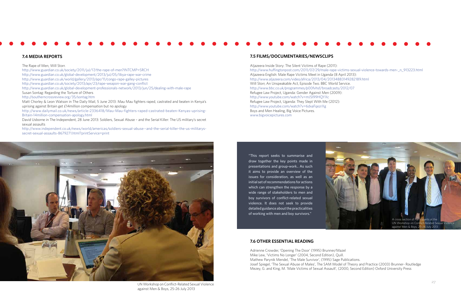# **7.4 MEDIA REPORTS**

## The Rape of Men, Will Storr.

http://www.guardian.co.uk/society/2011/jul/17/the-rape-of-men?INTCMP=SRCH http://www.guardian.co.uk/global-development/2013/jul/05/libya-rape-war-crime http://www.guardian.co.uk/world/gallery/2013/apr/11/congo-rape-galley-pictures

http://www.guardian.co.uk/society/2013/apr/23/rape-weapon-war-gang-conflict

http://www.guardian.co.uk/global-development-professionals-network/2013/jun/25/dealing-with-male-rape

Susan Sontag: Regarding the Torture of Others

http://southerncrossreview.org/35/sontag.htm

Matt Chorley & Leon Watson in The Daily Mail, 5 June 2013: Mau Mau fighters raped, castrated and beaten in Kenya's uprising against Britain get £14million compensation but no apology

http://www.dailymail.co.uk/news/article-2336418/Mau-Mau-fighters-raped-castrated-beaten-Kenyas-uprising-Britain-14million-compensation-apology.html

David Usborne in The Independent, 28 June 2013: Soldiers, Sexual Abuse – and the Serial Killer: The US military's secret sexual assaults

http://www.independent.co.uk/news/world/americas/soldiers-sexual-abuse--and-the-serial-killer-the-us-militaryssecret-sexual-assaults-8679271.html?printService=print

# **7.5 FILMS/DOCUMENTARIES/NEWSCLIPS**

Aljazeera Inside Story: The Silent Victims of Rape (2011): http://www.huffingtonpost.com/2011/07/29/male-rape-victims-sexual-violence-towards-men-\_n\_913223.html Aljazeera English: Male Rape Victims Meet in Uganda (8 April 2013): http://www.aljazeera.com/video/africa/2013/04/20134883149282189.html Will Storr, An Unspeakable Act, Episode Two. BBC World Service. http://www.bbc.co.uk/programmes/p00fvhsf/broadcasts/2012/07 Refugee Law Project, Uganda: Gender Against Men (2009): http://www.youtube.com/watch?v=mJSl99HQYXc Refugee Law Project, Uganda: They Slept With Me (2012): http://www.youtube.com/watch?v=6dxaFqezrXg Boys and Men Healing, Big Voice Pictures. www.bigvoicepictures.com

# **7.6 OTHER ESSENTIAL READING**

Adrienne Crowder, 'Opening The Door' (1995) Brunner/Mazel Mike Lew, 'Victims No Longer' (2004, Second Edition), Quill. Mathew Parynik Mendel, 'The Male Survivor', (1995) Sage Publications. Josef Spiegel, 'The Sexual Abuse of Males', The SAM Model of Theory and Practice (2003) Brunner- Routledge Mezey, G. and King, M. 'Male Victims of Sexual Assault', (2000, Second Edition) Oxford University Press



UN Workshop on Conflict-Related Sexual Violence against Men & Boys, 25-26 July 2013



"This report seeks to summarise and draw together the key points made in presentations and group-work.. As such it aims to provide an overview of the issues for consideration, as well as an initial set of recommendations for actions which can strengthen the response by a wide range of stakeholders to men and boy survivors of conflict-related sexual violence. It does not seek to provide detailed guidance about the practicalities of working with men and boy survivors."